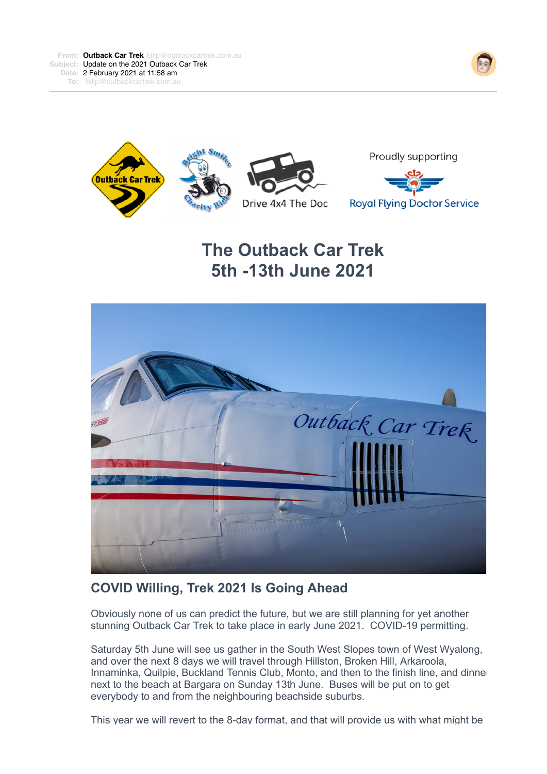



# **The Outback Car Trek 5th -13th June 2021**



## **COVID Willing, Trek 2021 Is Going Ahead**

Obviously none of us can predict the future, but we are still planning for yet another stunning Outback Car Trek to take place in early June 2021. COVID-19 permitting.

Saturday 5th June will see us gather in the South West Slopes town of West Wyalong, and over the next 8 days we will travel through Hillston, Broken Hill, Arkaroola, Innaminka, Quilpie, Buckland Tennis Club, Monto, and then to the finish line, and dinne next to the beach at Bargara on Sunday 13th June. Buses will be put on to get everybody to and from the neighbouring beachside suburbs.

This year we will revert to the 8-day format, and that will provide us with what might be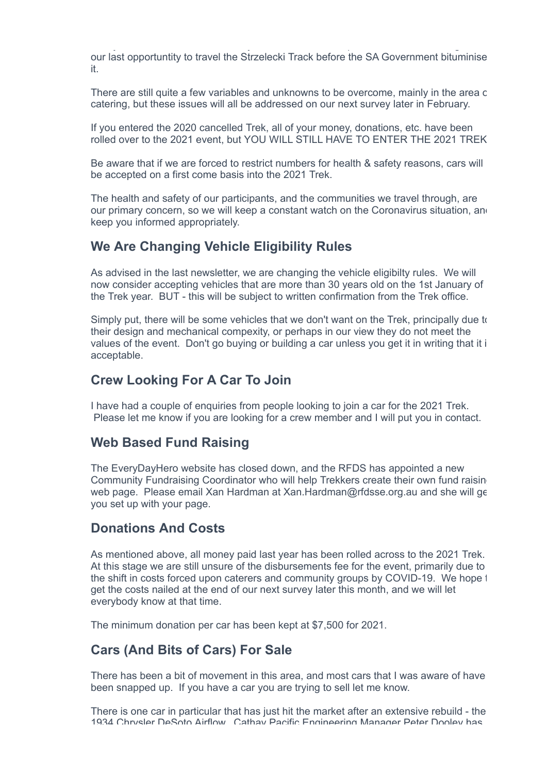This year we will revert to the 8-day format, and that will provide us with what might be our last opportuntity to travel the Strzelecki Track before the SA Government bituminise it.

There are still quite a few variables and unknowns to be overcome, mainly in the area c catering, but these issues will all be addressed on our next survey later in February.

If you entered the 2020 cancelled Trek, all of your money, donations, etc. have been rolled over to the 2021 event, but YOU WILL STILL HAVE TO ENTER THE 2021 TREK.

Be aware that if we are forced to restrict numbers for health & safety reasons, cars will be accepted on a first come basis into the 2021 Trek.

The health and safety of our participants, and the communities we travel through, are our primary concern, so we will keep a constant watch on the Coronavirus situation, and keep you informed appropriately.

## **We Are Changing Vehicle Eligibility Rules**

As advised in the last newsletter, we are changing the vehicle eligibilty rules. We will now consider accepting vehicles that are more than 30 years old on the 1st January of the Trek year. BUT - this will be subject to written confirmation from the Trek office.

Simply put, there will be some vehicles that we don't want on the Trek, principally due to their design and mechanical compexity, or perhaps in our view they do not meet the values of the event. Don't go buying or building a car unless you get it in writing that it i acceptable.

#### **Crew Looking For A Car To Join**

I have had a couple of enquiries from people looking to join a car for the 2021 Trek. Please let me know if you are looking for a crew member and I will put you in contact.

#### **Web Based Fund Raising**

The EveryDayHero website has closed down, and the RFDS has appointed a new Community Fundraising Coordinator who will help Trekkers create their own fund raising web page. Please email Xan Hardman at Xan.Hardman@rfdsse.org.au and she will get you set up with your page.

## **Donations And Costs**

As mentioned above, all money paid last year has been rolled across to the 2021 Trek. At this stage we are still unsure of the disbursements fee for the event, primarily due to the shift in costs forced upon caterers and community groups by COVID-19. We hope  $t$ get the costs nailed at the end of our next survey later this month, and we will let everybody know at that time.

The minimum donation per car has been kept at \$7,500 for 2021.

## **Cars (And Bits of Cars) For Sale**

There has been a bit of movement in this area, and most cars that I was aware of have been snapped up. If you have a car you are trying to sell let me know.

There is one car in particular that has just hit the market after an extensive rebuild - the 1934 Chrysler DeSoto Airflow. Cathay Pacific Engineering Manager Peter Dooley has